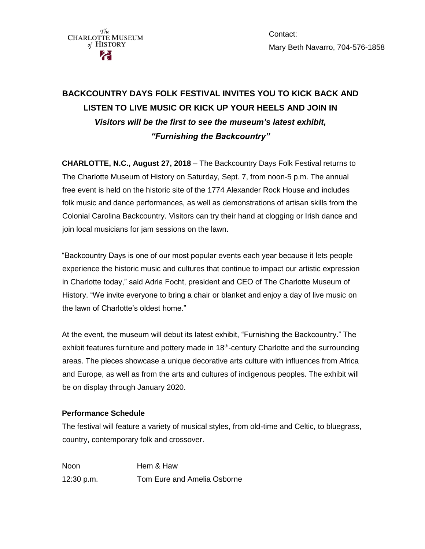

Contact: Mary Beth Navarro, 704-576-1858

# **BACKCOUNTRY DAYS FOLK FESTIVAL INVITES YOU TO KICK BACK AND LISTEN TO LIVE MUSIC OR KICK UP YOUR HEELS AND JOIN IN** *Visitors will be the first to see the museum's latest exhibit, "Furnishing the Backcountry"*

**CHARLOTTE, N.C., August 27, 2018** – The Backcountry Days Folk Festival returns to The Charlotte Museum of History on Saturday, Sept. 7, from noon-5 p.m. The annual free event is held on the historic site of the 1774 Alexander Rock House and includes folk music and dance performances, as well as demonstrations of artisan skills from the Colonial Carolina Backcountry. Visitors can try their hand at clogging or Irish dance and join local musicians for jam sessions on the lawn.

"Backcountry Days is one of our most popular events each year because it lets people experience the historic music and cultures that continue to impact our artistic expression in Charlotte today," said Adria Focht, president and CEO of The Charlotte Museum of History. "We invite everyone to bring a chair or blanket and enjoy a day of live music on the lawn of Charlotte's oldest home."

At the event, the museum will debut its latest exhibit, "Furnishing the Backcountry." The exhibit features furniture and pottery made in 18<sup>th</sup>-century Charlotte and the surrounding areas. The pieces showcase a unique decorative arts culture with influences from Africa and Europe, as well as from the arts and cultures of indigenous peoples. The exhibit will be on display through January 2020.

## **Performance Schedule**

The festival will feature a variety of musical styles, from old-time and Celtic, to bluegrass, country, contemporary folk and crossover.

Noon **Hem & Haw** 12:30 p.m. Tom Eure and Amelia Osborne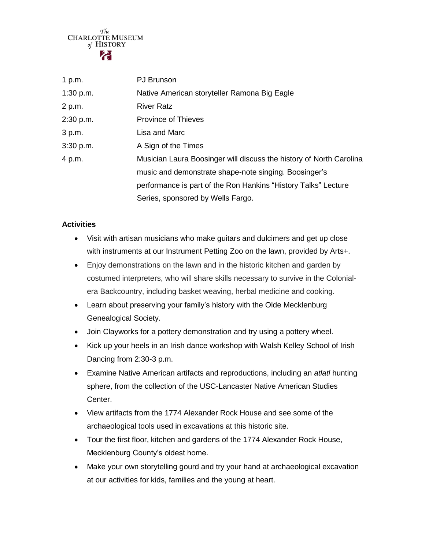$$^{\mathcal{T}\!\!he}_{\mathcal{M}}$$ CHARLOTTE MUSEUM of HISTORY

| 1 p.m.    | <b>PJ</b> Brunson                                                   |
|-----------|---------------------------------------------------------------------|
| 1:30 p.m. | Native American storyteller Ramona Big Eagle                        |
| 2 p.m.    | <b>River Ratz</b>                                                   |
| 2:30 p.m. | <b>Province of Thieves</b>                                          |
| 3 p.m.    | Lisa and Marc                                                       |
| 3:30 p.m. | A Sign of the Times                                                 |
| 4 p.m.    | Musician Laura Boosinger will discuss the history of North Carolina |
|           | music and demonstrate shape-note singing. Boosinger's               |
|           | performance is part of the Ron Hankins "History Talks" Lecture      |
|           | Series, sponsored by Wells Fargo.                                   |

#### **Activities**

- Visit with artisan musicians who make guitars and dulcimers and get up close with instruments at our Instrument Petting Zoo on the lawn, provided by Arts+.
- Enjoy demonstrations on the lawn and in the historic kitchen and garden by costumed interpreters, who will share skills necessary to survive in the Colonialera Backcountry, including basket weaving, herbal medicine and cooking.
- Learn about preserving your family's history with the Olde Mecklenburg Genealogical Society.
- Join Clayworks for a pottery demonstration and try using a pottery wheel.
- Kick up your heels in an Irish dance workshop with Walsh Kelley School of Irish Dancing from 2:30-3 p.m.
- Examine Native American artifacts and reproductions, including an *atlatl* hunting sphere, from the collection of the USC-Lancaster Native American Studies Center.
- View artifacts from the 1774 Alexander Rock House and see some of the archaeological tools used in excavations at this historic site.
- Tour the first floor, kitchen and gardens of the 1774 Alexander Rock House, Mecklenburg County's oldest home.
- Make your own storytelling gourd and try your hand at archaeological excavation at our activities for kids, families and the young at heart.